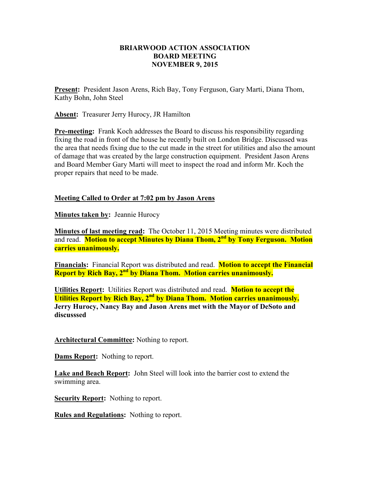## **BRIARWOOD ACTION ASSOCIATION BOARD MEETING NOVEMBER 9, 2015**

**Present:** President Jason Arens, Rich Bay, Tony Ferguson, Gary Marti, Diana Thom, Kathy Bohn, John Steel

**Absent:** Treasurer Jerry Hurocy, JR Hamilton

**Pre-meeting:** Frank Koch addresses the Board to discuss his responsibility regarding fixing the road in front of the house he recently built on London Bridge. Discussed was the area that needs fixing due to the cut made in the street for utilities and also the amount of damage that was created by the large construction equipment. President Jason Arens and Board Member Gary Marti will meet to inspect the road and inform Mr. Koch the proper repairs that need to be made.

## **Meeting Called to Order at 7:02 pm by Jason Arens**

**Minutes taken by:** Jeannie Hurocy

**Minutes of last meeting read:** The October 11, 2015 Meeting minutes were distributed and read. **Motion to accept Minutes by Diana Thom, 2nd by Tony Ferguson. Motion carries unanimously.** 

**Financials:** Financial Report was distributed and read. **Motion to accept the Financial Report by Rich Bay, 2nd by Diana Thom. Motion carries unanimously.** 

**Utilities Report:** Utilities Report was distributed and read. **Motion to accept the Utilities Report by Rich Bay, 2nd by Diana Thom. Motion carries unanimously. Jerry Hurocy, Nancy Bay and Jason Arens met with the Mayor of DeSoto and discusssed** 

**Architectural Committee:** Nothing to report.

**Dams Report:** Nothing to report.

**Lake and Beach Report:** John Steel will look into the barrier cost to extend the swimming area.

**Security Report:** Nothing to report.

**Rules and Regulations:** Nothing to report.